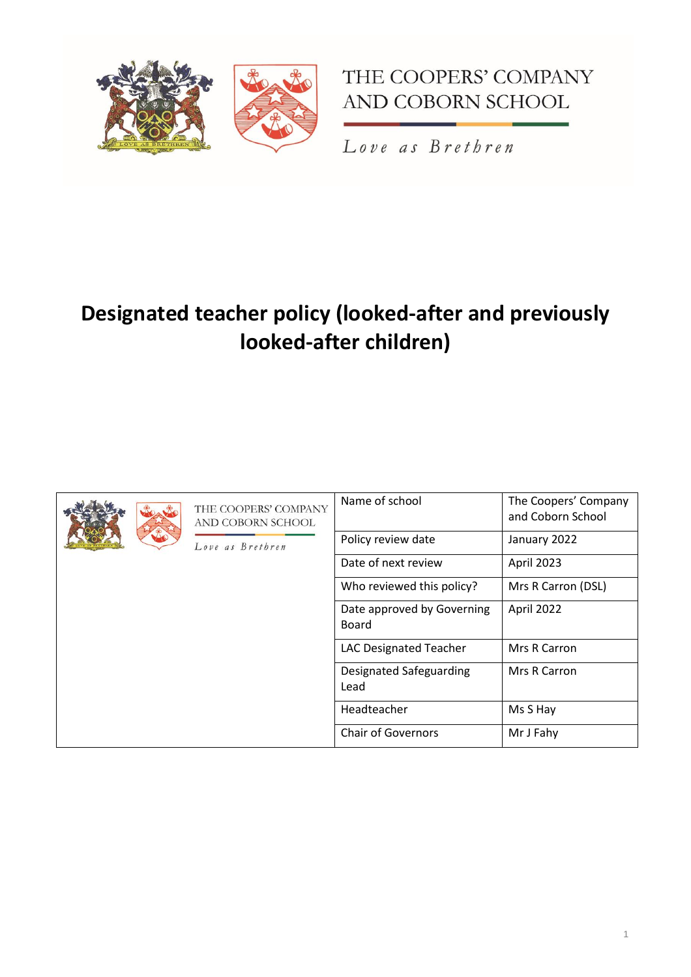



Love as Brethren

# **Designated teacher policy (looked-after and previously looked-after children)**

| THE COOPERS' COMPANY<br>AND COBORN SCHOOL<br>Love as Brethren | Name of school                      | The Coopers' Company<br>and Coborn School |
|---------------------------------------------------------------|-------------------------------------|-------------------------------------------|
|                                                               | Policy review date                  | January 2022                              |
|                                                               | Date of next review                 | April 2023                                |
|                                                               | Who reviewed this policy?           | Mrs R Carron (DSL)                        |
|                                                               | Date approved by Governing<br>Board | April 2022                                |
|                                                               | LAC Designated Teacher              | Mrs R Carron                              |
|                                                               | Designated Safeguarding<br>Lead     | Mrs R Carron                              |
|                                                               | Headteacher                         | Ms S Hay                                  |
|                                                               | <b>Chair of Governors</b>           | Mr J Fahy                                 |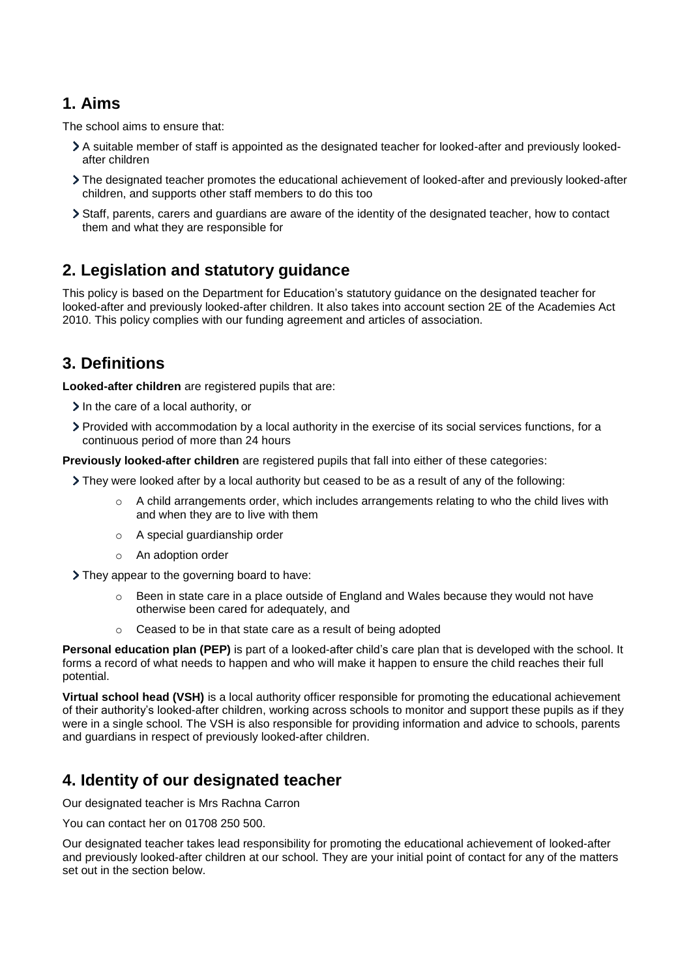# **1. Aims**

The school aims to ensure that:

- A suitable member of staff is appointed as the designated teacher for looked-after and previously lookedafter children
- The designated teacher promotes the educational achievement of looked-after and previously looked-after children, and supports other staff members to do this too
- Staff, parents, carers and guardians are aware of the identity of the designated teacher, how to contact them and what they are responsible for

# **2. Legislation and statutory guidance**

This policy is based on the Department for Education's [statutory guidance on the designated teacher for](https://www.gov.uk/government/publications/designated-teacher-for-looked-after-children)  [looked-after and previously looked-after children.](https://www.gov.uk/government/publications/designated-teacher-for-looked-after-children) It also takes into account [section 2E](http://www.legislation.gov.uk/ukpga/2010/32/section/2E) of the Academies Act 2010. This policy complies with our funding agreement and articles of association.

# **3. Definitions**

**Looked-after children** are registered pupils that are:

- $\geq$  In the care of a local authority, or
- Provided with accommodation by a local authority in the exercise of its social services functions, for a continuous period of more than 24 hours

**Previously looked-after children** are registered pupils that fall into either of these categories:

- They were looked after by a local authority but ceased to be as a result of any of the following:
	- $\circ$  A child arrangements order, which includes arrangements relating to who the child lives with and when they are to live with them
	- o A special guardianship order
	- o An adoption order

They appear to the governing board to have:

- $\circ$  Been in state care in a place outside of England and Wales because they would not have otherwise been cared for adequately, and
- o Ceased to be in that state care as a result of being adopted

**Personal education plan (PEP)** is part of a looked-after child's care plan that is developed with the school. It forms a record of what needs to happen and who will make it happen to ensure the child reaches their full potential.

**Virtual school head (VSH)** is a local authority officer responsible for promoting the educational achievement of their authority's looked-after children, working across schools to monitor and support these pupils as if they were in a single school. The VSH is also responsible for providing information and advice to schools, parents and guardians in respect of previously looked-after children.

# **4. Identity of our designated teacher**

Our designated teacher is Mrs Rachna Carron

You can contact her on 01708 250 500.

Our designated teacher takes lead responsibility for promoting the educational achievement of looked-after and previously looked-after children at our school. They are your initial point of contact for any of the matters set out in the section below.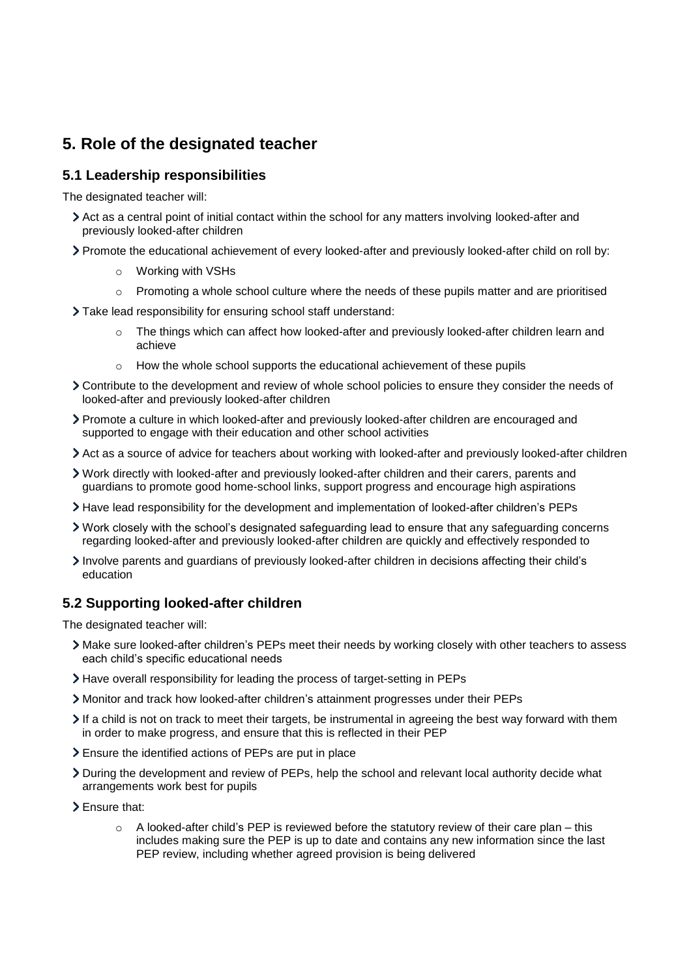# **5. Role of the designated teacher**

## **5.1 Leadership responsibilities**

The designated teacher will:

- Act as a central point of initial contact within the school for any matters involving looked-after and previously looked-after children
- Promote the educational achievement of every looked-after and previously looked-after child on roll by:
	- o Working with VSHs
	- $\circ$  Promoting a whole school culture where the needs of these pupils matter and are prioritised
- Take lead responsibility for ensuring school staff understand:
	- The things which can affect how looked-after and previously looked-after children learn and achieve
	- $\circ$  How the whole school supports the educational achievement of these pupils
- Contribute to the development and review of whole school policies to ensure they consider the needs of looked-after and previously looked-after children
- Promote a culture in which looked-after and previously looked-after children are encouraged and supported to engage with their education and other school activities
- Act as a source of advice for teachers about working with looked-after and previously looked-after children
- Work directly with looked-after and previously looked-after children and their carers, parents and guardians to promote good home-school links, support progress and encourage high aspirations
- Have lead responsibility for the development and implementation of looked-after children's PEPs
- Work closely with the school's designated safeguarding lead to ensure that any safeguarding concerns regarding looked-after and previously looked-after children are quickly and effectively responded to
- Involve parents and guardians of previously looked-after children in decisions affecting their child's education

### **5.2 Supporting looked-after children**

The designated teacher will:

- Make sure looked-after children's PEPs meet their needs by working closely with other teachers to assess each child's specific educational needs
- Have overall responsibility for leading the process of target-setting in PEPs
- Monitor and track how looked-after children's attainment progresses under their PEPs
- If a child is not on track to meet their targets, be instrumental in agreeing the best way forward with them in order to make progress, and ensure that this is reflected in their PEP
- Ensure the identified actions of PEPs are put in place
- During the development and review of PEPs, help the school and relevant local authority decide what arrangements work best for pupils
- Ensure that:
	- $\circ$  A looked-after child's PEP is reviewed before the statutory review of their care plan this includes making sure the PEP is up to date and contains any new information since the last PEP review, including whether agreed provision is being delivered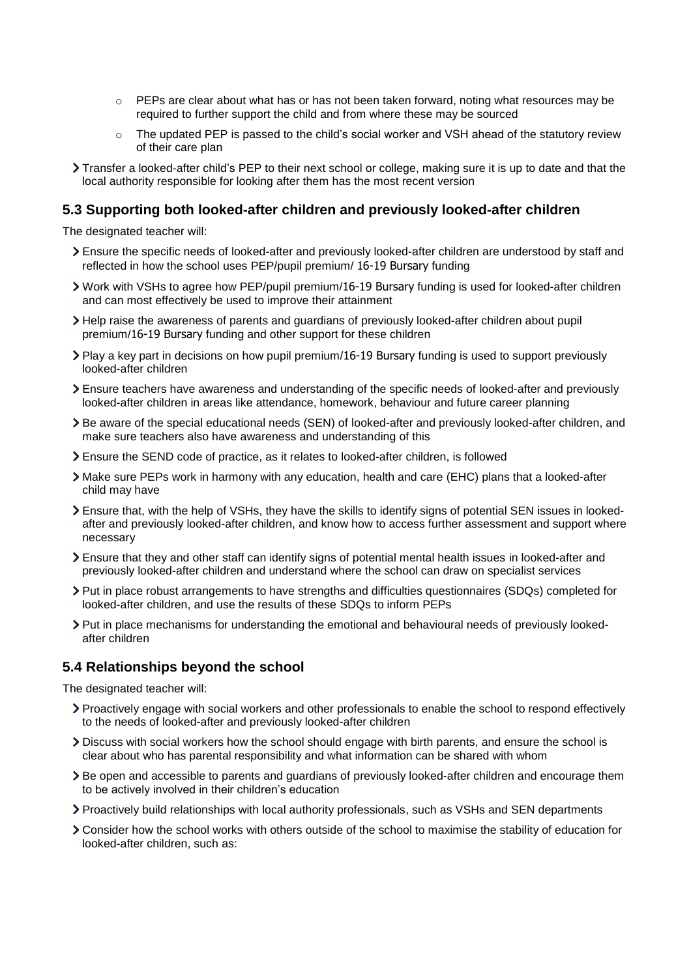- $\circ$  PEPs are clear about what has or has not been taken forward, noting what resources may be required to further support the child and from where these may be sourced
- $\circ$  The updated PEP is passed to the child's social worker and VSH ahead of the statutory review of their care plan
- Transfer a looked-after child's PEP to their next school or college, making sure it is up to date and that the local authority responsible for looking after them has the most recent version

#### **5.3 Supporting both looked-after children and previously looked-after children**

The designated teacher will:

- Ensure the specific needs of looked-after and previously looked-after children are understood by staff and reflected in how the school uses PEP/pupil premium/ 16-19 Bursary funding
- Work with VSHs to agree how PEP/pupil premium/16-19 Bursary funding is used for looked-after children and can most effectively be used to improve their attainment
- Help raise the awareness of parents and guardians of previously looked-after children about pupil premium/16-19 Bursary funding and other support for these children
- Play a key part in decisions on how pupil premium/16-19 Bursary funding is used to support previously looked-after children
- Ensure teachers have awareness and understanding of the specific needs of looked-after and previously looked-after children in areas like attendance, homework, behaviour and future career planning
- Be aware of the special educational needs (SEN) of looked-after and previously looked-after children, and make sure teachers also have awareness and understanding of this
- Ensure the [SEND code of practice,](https://www.gov.uk/government/publications/send-code-of-practice-0-to-25) as it relates to looked-after children, is followed
- Make sure PEPs work in harmony with any education, health and care (EHC) plans that a looked-after child may have
- Ensure that, with the help of VSHs, they have the skills to identify signs of potential SEN issues in lookedafter and previously looked-after children, and know how to access further assessment and support where necessary
- Ensure that they and other staff can identify signs of potential mental health issues in looked-after and previously looked-after children and understand where the school can draw on specialist services
- Put in place robust arrangements to have strengths and difficulties questionnaires (SDQs) completed for looked-after children, and use the results of these SDQs to inform PEPs
- Put in place mechanisms for understanding the emotional and behavioural needs of previously lookedafter children

#### **5.4 Relationships beyond the school**

The designated teacher will:

- Proactively engage with social workers and other professionals to enable the school to respond effectively to the needs of looked-after and previously looked-after children
- Discuss with social workers how the school should engage with birth parents, and ensure the school is clear about who has parental responsibility and what information can be shared with whom
- Be open and accessible to parents and guardians of previously looked-after children and encourage them to be actively involved in their children's education
- Proactively build relationships with local authority professionals, such as VSHs and SEN departments
- Consider how the school works with others outside of the school to maximise the stability of education for looked-after children, such as: